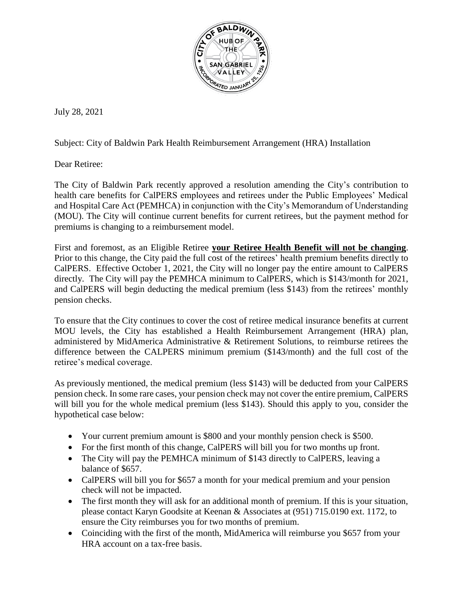

July 28, 2021

Subject: City of Baldwin Park Health Reimbursement Arrangement (HRA) Installation

Dear Retiree:

The City of Baldwin Park recently approved a resolution amending the City's contribution to health care benefits for CalPERS employees and retirees under the Public Employees' Medical and Hospital Care Act (PEMHCA) in conjunction with the City's Memorandum of Understanding (MOU). The City will continue current benefits for current retirees, but the payment method for premiums is changing to a reimbursement model.

First and foremost, as an Eligible Retiree **your Retiree Health Benefit will not be changing**. Prior to this change, the City paid the full cost of the retirees' health premium benefits directly to CalPERS. Effective October 1, 2021, the City will no longer pay the entire amount to CalPERS directly. The City will pay the PEMHCA minimum to CalPERS, which is \$143/month for 2021, and CalPERS will begin deducting the medical premium (less \$143) from the retirees' monthly pension checks.

To ensure that the City continues to cover the cost of retiree medical insurance benefits at current MOU levels, the City has established a Health Reimbursement Arrangement (HRA) plan, administered by MidAmerica Administrative & Retirement Solutions, to reimburse retirees the difference between the CALPERS minimum premium (\$143/month) and the full cost of the retiree's medical coverage.

As previously mentioned, the medical premium (less \$143) will be deducted from your CalPERS pension check. In some rare cases, your pension check may not cover the entire premium, CalPERS will bill you for the whole medical premium (less \$143). Should this apply to you, consider the hypothetical case below:

- Your current premium amount is \$800 and your monthly pension check is \$500.
- For the first month of this change, CalPERS will bill you for two months up front.
- The City will pay the PEMHCA minimum of \$143 directly to CalPERS, leaving a balance of \$657.
- CalPERS will bill you for \$657 a month for your medical premium and your pension check will not be impacted.
- The first month they will ask for an additional month of premium. If this is your situation, please contact Karyn Goodsite at Keenan & Associates at (951) 715.0190 ext. 1172, to ensure the City reimburses you for two months of premium.
- Coinciding with the first of the month, MidAmerica will reimburse you \$657 from your HRA account on a tax-free basis.